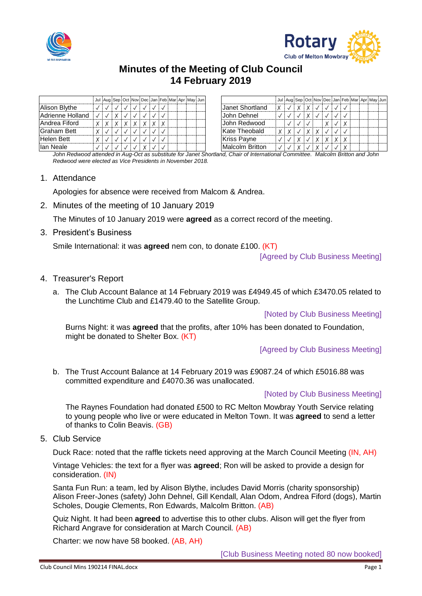



# **Minutes of the Meeting of Club Council 14 February 2019**

|                  |  |  | Jul Aug Sep Oct Nov Dec Jan Feb Mar Apr May Jun |  |  |  |                        |  |  |  |  | Jul Aug Sep Oct Nov Dec Jan Feb Mar Apr May Jun |  |  |
|------------------|--|--|-------------------------------------------------|--|--|--|------------------------|--|--|--|--|-------------------------------------------------|--|--|
| Alison Blythe    |  |  |                                                 |  |  |  | Janet Shortland        |  |  |  |  |                                                 |  |  |
| Adrienne Holland |  |  |                                                 |  |  |  | IJohn Dehnel           |  |  |  |  |                                                 |  |  |
| lAndrea Fiford   |  |  |                                                 |  |  |  | John Redwood           |  |  |  |  |                                                 |  |  |
| lGraham Bett     |  |  |                                                 |  |  |  | Kate Theobald          |  |  |  |  |                                                 |  |  |
| Helen Bett       |  |  |                                                 |  |  |  | <b>Kriss Payne</b>     |  |  |  |  |                                                 |  |  |
| llan Neale       |  |  |                                                 |  |  |  | <b>Malcolm Britton</b> |  |  |  |  |                                                 |  |  |

*John Redwood attended in Aug-Oct as substitute for Janet Shortland, Chair of International Committee. Malcolm Britton and John Redwood were elected as Vice Presidents in November 2018.*

## 1. Attendance

Apologies for absence were received from Malcom & Andrea.

2. Minutes of the meeting of 10 January 2019

The Minutes of 10 January 2019 were **agreed** as a correct record of the meeting.

3. President's Business

Smile International: it was **agreed** nem con, to donate £100. (KT)

[Agreed by Club Business Meeting]

## 4. Treasurer's Report

a. The Club Account Balance at 14 February 2019 was £4949.45 of which £3470.05 related to the Lunchtime Club and £1479.40 to the Satellite Group.

[Noted by Club Business Meeting]

Burns Night: it was **agreed** that the profits, after 10% has been donated to Foundation, might be donated to Shelter Box. (KT)

[Agreed by Club Business Meeting]

b. The Trust Account Balance at 14 February 2019 was £9087.24 of which £5016.88 was committed expenditure and £4070.36 was unallocated.

#### [Noted by Club Business Meeting]

The Raynes Foundation had donated £500 to RC Melton Mowbray Youth Service relating to young people who live or were educated in Melton Town. It was **agreed** to send a letter of thanks to Colin Beavis. (GB)

5. Club Service

Duck Race: noted that the raffle tickets need approving at the March Council Meeting (IN, AH)

Vintage Vehicles: the text for a flyer was **agreed**; Ron will be asked to provide a design for consideration. (IN)

Santa Fun Run: a team, led by Alison Blythe, includes David Morris (charity sponsorship) Alison Freer-Jones (safety) John Dehnel, Gill Kendall, Alan Odom, Andrea Fiford (dogs), Martin Scholes, Dougie Clements, Ron Edwards, Malcolm Britton. (AB)

Quiz Night. It had been **agreed** to advertise this to other clubs. Alison will get the flyer from Richard Angrave for consideration at March Council. (AB)

Charter: we now have 58 booked. (AB, AH)

[Club Business Meeting noted 80 now booked]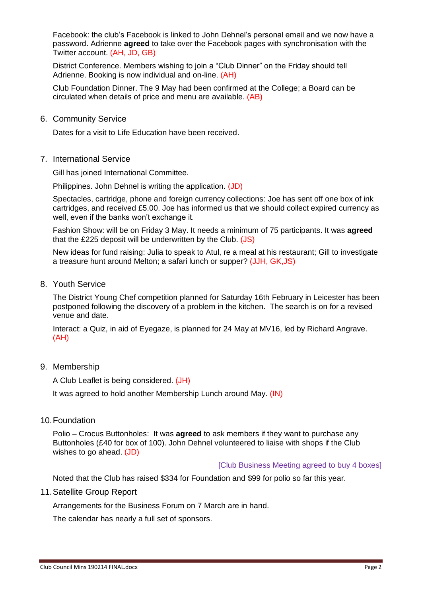Facebook: the club's Facebook is linked to John Dehnel's personal email and we now have a password. Adrienne **agreed** to take over the Facebook pages with synchronisation with the Twitter account. (AH, JD, GB)

District Conference. Members wishing to join a "Club Dinner" on the Friday should tell Adrienne. Booking is now individual and on-line. (AH)

Club Foundation Dinner. The 9 May had been confirmed at the College; a Board can be circulated when details of price and menu are available. (AB)

6. Community Service

Dates for a visit to Life Education have been received.

7. International Service

Gill has joined International Committee.

Philippines. John Dehnel is writing the application. (JD)

Spectacles, cartridge, phone and foreign currency collections: Joe has sent off one box of ink cartridges, and received £5.00. Joe has informed us that we should collect expired currency as well, even if the banks won't exchange it.

Fashion Show: will be on Friday 3 May. It needs a minimum of 75 participants. It was **agreed** that the £225 deposit will be underwritten by the Club. (JS)

New ideas for fund raising: Julia to speak to Atul, re a meal at his restaurant; Gill to investigate a treasure hunt around Melton; a safari lunch or supper? (JJH, GK,JS)

8. Youth Service

The District Young Chef competition planned for Saturday 16th February in Leicester has been postponed following the discovery of a problem in the kitchen. The search is on for a revised venue and date.

Interact: a Quiz, in aid of Eyegaze, is planned for 24 May at MV16, led by Richard Angrave. (AH)

9. Membership

A Club Leaflet is being considered. (JH)

It was agreed to hold another Membership Lunch around May. (IN)

10.Foundation

Polio – Crocus Buttonholes: It was **agreed** to ask members if they want to purchase any Buttonholes (£40 for box of 100). John Dehnel volunteered to liaise with shops if the Club wishes to go ahead. (JD)

#### [Club Business Meeting agreed to buy 4 boxes]

Noted that the Club has raised \$334 for Foundation and \$99 for polio so far this year.

11.Satellite Group Report

Arrangements for the Business Forum on 7 March are in hand.

The calendar has nearly a full set of sponsors.